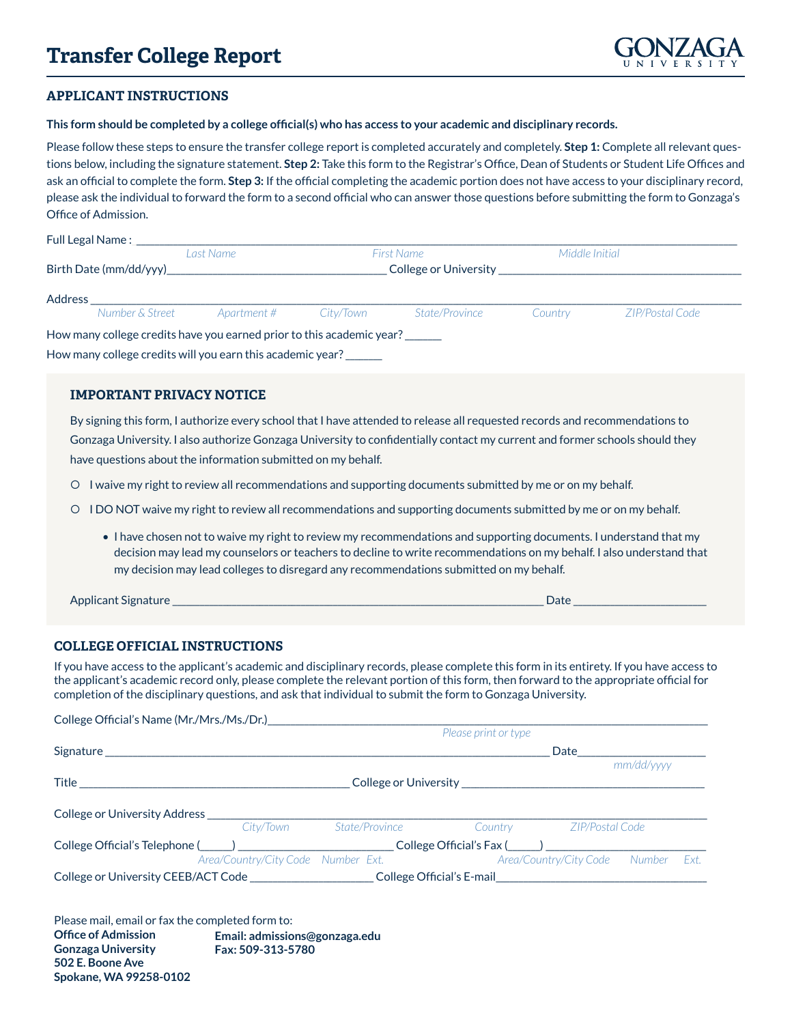## **Transfer College Report**



## **APPLICANT INSTRUCTIONS**

**This form should be completed by a college official(s) who has access to your academic and disciplinary records.**

Please follow these steps to ensure the transfer college report is completed accurately and completely. **Step 1:** Complete all relevant questions below, including the signature statement. **Step 2:** Take this form to the Registrar's Office, Dean of Students or Student Life Offices and ask an official to complete the form. **Step 3:** If the official completing the academic portion does not have access to your disciplinary record, please ask the individual to forward the form to a second official who can answer those questions before submitting the form to Gonzaga's Office of Admission.

| Full Legal Name :       |                 |             |                       |                |         |                 |
|-------------------------|-----------------|-------------|-----------------------|----------------|---------|-----------------|
| Last Name               |                 | First Name  |                       | Middle Initial |         |                 |
| Birth Date (mm/dd/yyy)_ |                 |             | College or University |                |         |                 |
| Address                 |                 |             |                       |                |         |                 |
|                         | Number & Street | Apartment # | Citv/Town             | State/Province | Countrv | ZIP/Postal Code |

How many college credits have you earned prior to this academic year? \_\_\_\_\_\_ How many college credits will you earn this academic year? \_\_\_\_\_\_\_\_

## **IMPORTANT PRIVACY NOTICE**

By signing this form, I authorize every school that I have attended to release all requested records and recommendations to Gonzaga University. I also authorize Gonzaga University to confidentially contact my current and former schools should they have questions about the information submitted on my behalf.

- O I waive my right to review all recommendations and supporting documents submitted by me or on my behalf.
- O I DO NOT waive my right to review all recommendations and supporting documents submitted by me or on my behalf.
	- I have chosen not to waive my right to review my recommendations and supporting documents. I understand that my decision may lead my counselors or teachers to decline to write recommendations on my behalf. I also understand that my decision may lead colleges to disregard any recommendations submitted on my behalf.

Applicant Signature \_\_\_\_\_\_\_\_\_\_\_\_\_\_\_\_\_\_\_\_\_\_\_\_\_\_\_\_\_\_\_\_\_\_\_\_\_\_\_\_\_\_\_\_\_\_\_\_\_\_\_\_\_\_\_\_\_\_\_\_\_\_\_\_\_\_\_\_\_\_\_\_\_\_\_\_\_\_\_\_\_ Date \_\_\_\_\_\_\_\_\_\_\_\_\_\_\_\_\_\_\_\_\_\_\_\_\_\_\_\_\_

## **COLLEGE OFFICIAL INSTRUCTIONS**

If you have access to the applicant's academic and disciplinary records, please complete this form in its entirety. If you have access to the applicant's academic record only, please complete the relevant portion of this form, then forward to the appropriate official for completion of the disciplinary questions, and ask that individual to submit the form to Gonzaga University.

| College Official's Name (Mr./Mrs./Ms./Dr.)___________ |                                                                                                                |                                           |                        |            |      |
|-------------------------------------------------------|----------------------------------------------------------------------------------------------------------------|-------------------------------------------|------------------------|------------|------|
|                                                       |                                                                                                                | Please print or type                      |                        |            |      |
|                                                       |                                                                                                                |                                           | Date                   |            |      |
|                                                       |                                                                                                                |                                           |                        | mm/dd/vvvv |      |
|                                                       |                                                                                                                | College or University <b>Example 2018</b> |                        |            |      |
|                                                       |                                                                                                                |                                           |                        |            |      |
| College or University Address __________              |                                                                                                                |                                           |                        |            |      |
| City/Town                                             | State/Province                                                                                                 | Country                                   | ZIP/Postal Code        |            |      |
|                                                       | College Official's Telephone (_____) _________________________College Official's Fax (_____) _________________ |                                           |                        |            |      |
| Area/Country/City Code Number Ext.                    |                                                                                                                |                                           | Area/Country/City Code | Number     | Ext. |
|                                                       |                                                                                                                | College Official's E-mail                 |                        |            |      |

Please mail, email or fax the completed form to: **Office of Admission Gonzaga University 502 E. Boone Ave Spokane, WA 99258-0102 Email: admissions@gonzaga.edu Fax: 509-313-5780**